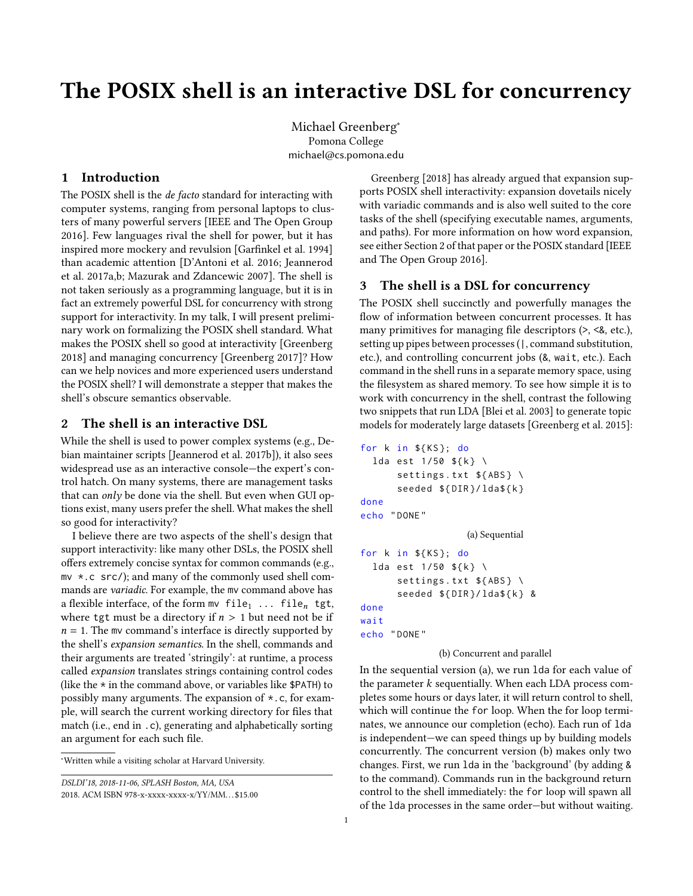# The POSIX shell is an interactive DSL for concurrency

Michael Greenberg<sup>∗</sup> Pomona College michael@cs.pomona.edu

## 1 Introduction

The POSIX shell is the *de facto* standard for interacting with computer systems, ranging from personal laptops to clusters of many powerful servers [\[IEEE and The Open Group](#page-2-0) [2016\]](#page-2-0). Few languages rival the shell for power, but it has inspired more mockery and revulsion [\[Garfinkel et al.](#page-1-0) [1994\]](#page-1-0) than academic attention [\[D'Antoni et al.](#page-1-1) [2016;](#page-1-1) [Jeannerod](#page-2-1) [et al.](#page-2-1) [2017a,](#page-2-1)[b;](#page-2-2) [Mazurak and Zdancewic 2007\]](#page-2-3). The shell is not taken seriously as a programming language, but it is in fact an extremely powerful DSL for concurrency with strong support for interactivity. In my talk, I will present preliminary work on formalizing the POSIX shell standard. What makes the POSIX shell so good at interactivity [\[Greenberg](#page-1-2) [2018\]](#page-1-2) and managing concurrency [\[Greenberg 2017\]](#page-1-3)? How can we help novices and more experienced users understand the POSIX shell? I will demonstrate a stepper that makes the shell's obscure semantics observable.

## 2 The shell is an interactive DSL

While the shell is used to power complex systems (e.g., Debian maintainer scripts [\[Jeannerod et al.](#page-2-2) [2017b\]](#page-2-2)), it also sees widespread use as an interactive console—the expert's control hatch. On many systems, there are management tasks that can *only* be done via the shell. But even when GUI options exist, many users prefer the shell. What makes the shell so good for interactivity?

I believe there are two aspects of the shell's design that support interactivity: like many other DSLs, the POSIX shell offers extremely concise syntax for common commands (e.g., mv \*.c src/); and many of the commonly used shell commands are variadic. For example, the mv command above has a flexible interface, of the form mv  $file_1$  ...  $file_n$  tgt, where tgt must be a directory if  $n > 1$  but need not be if  $n = 1$ . The mv command's interface is directly supported by the shell's expansion semantics. In the shell, commands and their arguments are treated 'stringily': at runtime, a process called expansion translates strings containing control codes (like the  $*$  in the command above, or variables like \$PATH) to possibly many arguments. The expansion of \*.c, for example, will search the current working directory for files that match (i.e., end in .c), generating and alphabetically sorting an argument for each such file.

[Greenberg](#page-1-2) [\[2018\]](#page-1-2) has already argued that expansion supports POSIX shell interactivity: expansion dovetails nicely with variadic commands and is also well suited to the core tasks of the shell (specifying executable names, arguments, and paths). For more information on how word expansion, see either Section 2 of that paper or the POSIX standard [\[IEEE](#page-2-0) [and The Open Group 2016\]](#page-2-0).

# 3 The shell is a DSL for concurrency

The POSIX shell succinctly and powerfully manages the flow of information between concurrent processes. It has many primitives for managing file descriptors (>, <&, etc.), setting up pipes between processes (|, command substitution, etc.), and controlling concurrent jobs (&, wait, etc.). Each command in the shell runs in a separate memory space, using the filesystem as shared memory. To see how simple it is to work with concurrency in the shell, contrast the following two snippets that run LDA [\[Blei et al.](#page-1-4) [2003\]](#page-1-4) to generate topic models for moderately large datasets [\[Greenberg et al.](#page-1-5) [2015\]](#page-1-5):

```
for k in {KS}; do
  lda est 1/50 ${k} \
      settings.txt ${ABS} \
      seeded $ {DIR}/1da${k}
done
echo " DONE "
                   (a) Sequential
for k in ${KS}; do
  lda est 1/50 ${k} \
      settings.txt ${ABS} \
      seeded ${DIR}/ lda$ { k } &
done
wait
echo " DONE "
```
#### (b) Concurrent and parallel

In the sequential version (a), we run lda for each value of the parameter  $k$  sequentially. When each LDA process completes some hours or days later, it will return control to shell, which will continue the for loop. When the for loop terminates, we announce our completion (echo). Each run of lda is independent—we can speed things up by building models concurrently. The concurrent version (b) makes only two changes. First, we run lda in the 'background' (by adding & to the command). Commands run in the background return control to the shell immediately: the for loop will spawn all of the lda processes in the same order—but without waiting.

<sup>∗</sup>Written while a visiting scholar at Harvard University.

DSLDI'18, 2018-11-06, SPLASH Boston, MA, USA

<sup>2018.</sup> ACM ISBN 978-x-xxxx-xxxx-x/YY/MM. . . \$15.00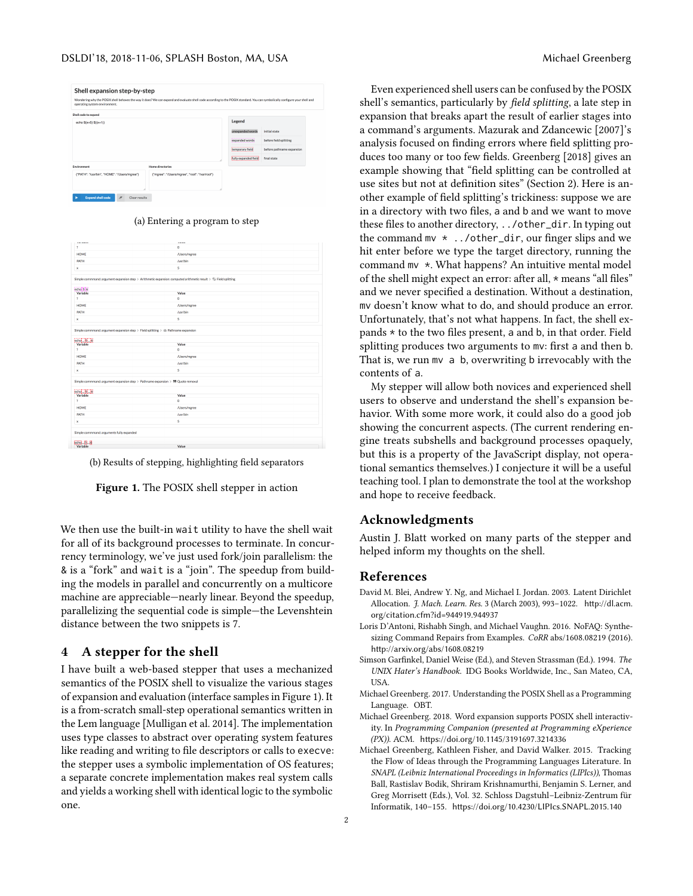<span id="page-1-6"></span>

| Shell expansion step-by-step<br>operating system environment. | Wondering why the POSIX shell behaves the way it does? We can expand and evaluate shell code according to the POSIX standard. You can symbolically configure your shell and |                                 |                           |  |
|---------------------------------------------------------------|-----------------------------------------------------------------------------------------------------------------------------------------------------------------------------|---------------------------------|---------------------------|--|
| Shell code to expand                                          |                                                                                                                                                                             |                                 |                           |  |
| echo $$(x=5)$ $$((x+1))$                                      |                                                                                                                                                                             | Legend                          |                           |  |
|                                                               |                                                                                                                                                                             | unexpanded words                | initial state             |  |
|                                                               |                                                                                                                                                                             | expanded words                  | before field splitting    |  |
|                                                               |                                                                                                                                                                             | ------------<br>temporary field | before pathname expansion |  |
|                                                               |                                                                                                                                                                             | fully expanded field            | final state               |  |
| Environment                                                   | <b>Home directories</b>                                                                                                                                                     |                                 |                           |  |
| {"PATH": "/usr/bin", "HOME": "/Users/mgree"}                  | {"mgree": "/Users/mgree", "root": "/var/root"}                                                                                                                              |                                 |                           |  |
| <b>Expand shell code</b><br>$\mathscr{F}$<br>Clear results    |                                                                                                                                                                             |                                 |                           |  |

(a) Entering a program to step

| $\bullet$<br>/Users/mgree<br>/usr/bin<br>5<br>Simple commmand: argument expansion step > Arithmetic expansion: computed arithmetic result > S3 Field splitting<br>echo 5 6<br>Value<br>Variable<br>Ŷ.<br>$\bullet$<br><b>HOME</b><br>/Users/mgree<br>PATH<br>/usr/bin<br>5<br>$\mathbf x$<br>Simple commmand: argument expansion step > Field splitting > Ei Pathname expansion<br>echo 22<br>Value<br>÷,<br>$\bullet$<br>HOME<br>/Users/maree<br><b>PATH</b><br>/usr/bin<br>5<br>$\mathbf{x}$<br>Simple commmand: argument expansion step > Pathname expansion > 99 Quote removal<br>echo S<br>Value<br>Ŷ.<br>$\bullet$<br><b>HOME</b><br>/Users/mgree<br>PATH<br>/usr/bin<br>5<br>x<br>Simple commmand: arguments fully expanded<br>etho.5.6 | --------                  | -     |  |
|------------------------------------------------------------------------------------------------------------------------------------------------------------------------------------------------------------------------------------------------------------------------------------------------------------------------------------------------------------------------------------------------------------------------------------------------------------------------------------------------------------------------------------------------------------------------------------------------------------------------------------------------------------------------------------------------------------------------------------------------|---------------------------|-------|--|
|                                                                                                                                                                                                                                                                                                                                                                                                                                                                                                                                                                                                                                                                                                                                                | ż.                        |       |  |
|                                                                                                                                                                                                                                                                                                                                                                                                                                                                                                                                                                                                                                                                                                                                                | HOME                      |       |  |
|                                                                                                                                                                                                                                                                                                                                                                                                                                                                                                                                                                                                                                                                                                                                                | PATH                      |       |  |
|                                                                                                                                                                                                                                                                                                                                                                                                                                                                                                                                                                                                                                                                                                                                                | $\boldsymbol{\mathsf{x}}$ |       |  |
|                                                                                                                                                                                                                                                                                                                                                                                                                                                                                                                                                                                                                                                                                                                                                |                           |       |  |
|                                                                                                                                                                                                                                                                                                                                                                                                                                                                                                                                                                                                                                                                                                                                                |                           |       |  |
|                                                                                                                                                                                                                                                                                                                                                                                                                                                                                                                                                                                                                                                                                                                                                |                           |       |  |
|                                                                                                                                                                                                                                                                                                                                                                                                                                                                                                                                                                                                                                                                                                                                                |                           |       |  |
|                                                                                                                                                                                                                                                                                                                                                                                                                                                                                                                                                                                                                                                                                                                                                |                           |       |  |
|                                                                                                                                                                                                                                                                                                                                                                                                                                                                                                                                                                                                                                                                                                                                                |                           |       |  |
|                                                                                                                                                                                                                                                                                                                                                                                                                                                                                                                                                                                                                                                                                                                                                |                           |       |  |
|                                                                                                                                                                                                                                                                                                                                                                                                                                                                                                                                                                                                                                                                                                                                                |                           |       |  |
|                                                                                                                                                                                                                                                                                                                                                                                                                                                                                                                                                                                                                                                                                                                                                |                           |       |  |
|                                                                                                                                                                                                                                                                                                                                                                                                                                                                                                                                                                                                                                                                                                                                                |                           |       |  |
|                                                                                                                                                                                                                                                                                                                                                                                                                                                                                                                                                                                                                                                                                                                                                |                           |       |  |
|                                                                                                                                                                                                                                                                                                                                                                                                                                                                                                                                                                                                                                                                                                                                                |                           |       |  |
|                                                                                                                                                                                                                                                                                                                                                                                                                                                                                                                                                                                                                                                                                                                                                |                           |       |  |
|                                                                                                                                                                                                                                                                                                                                                                                                                                                                                                                                                                                                                                                                                                                                                |                           |       |  |
|                                                                                                                                                                                                                                                                                                                                                                                                                                                                                                                                                                                                                                                                                                                                                |                           |       |  |
|                                                                                                                                                                                                                                                                                                                                                                                                                                                                                                                                                                                                                                                                                                                                                |                           |       |  |
|                                                                                                                                                                                                                                                                                                                                                                                                                                                                                                                                                                                                                                                                                                                                                |                           |       |  |
|                                                                                                                                                                                                                                                                                                                                                                                                                                                                                                                                                                                                                                                                                                                                                |                           |       |  |
|                                                                                                                                                                                                                                                                                                                                                                                                                                                                                                                                                                                                                                                                                                                                                |                           |       |  |
|                                                                                                                                                                                                                                                                                                                                                                                                                                                                                                                                                                                                                                                                                                                                                |                           |       |  |
|                                                                                                                                                                                                                                                                                                                                                                                                                                                                                                                                                                                                                                                                                                                                                |                           |       |  |
|                                                                                                                                                                                                                                                                                                                                                                                                                                                                                                                                                                                                                                                                                                                                                |                           |       |  |
|                                                                                                                                                                                                                                                                                                                                                                                                                                                                                                                                                                                                                                                                                                                                                |                           |       |  |
|                                                                                                                                                                                                                                                                                                                                                                                                                                                                                                                                                                                                                                                                                                                                                |                           |       |  |
|                                                                                                                                                                                                                                                                                                                                                                                                                                                                                                                                                                                                                                                                                                                                                |                           |       |  |
|                                                                                                                                                                                                                                                                                                                                                                                                                                                                                                                                                                                                                                                                                                                                                |                           |       |  |
|                                                                                                                                                                                                                                                                                                                                                                                                                                                                                                                                                                                                                                                                                                                                                | Variable                  | Value |  |



Figure 1. The POSIX shell stepper in action

We then use the built-in wait utility to have the shell wait for all of its background processes to terminate. In concurrency terminology, we've just used fork/join parallelism: the & is a "fork" and wait is a "join". The speedup from building the models in parallel and concurrently on a multicore machine are appreciable—nearly linear. Beyond the speedup, parallelizing the sequential code is simple—the Levenshtein distance between the two snippets is 7.

## 4 A stepper for the shell

I have built a web-based stepper that uses a mechanized semantics of the POSIX shell to visualize the various stages of expansion and evaluation (interface samples in Figure [1\)](#page-1-6). It is a from-scratch small-step operational semantics written in the Lem language [\[Mulligan et al.](#page-2-4) [2014\]](#page-2-4). The implementation uses type classes to abstract over operating system features like reading and writing to file descriptors or calls to execve: the stepper uses a symbolic implementation of OS features; a separate concrete implementation makes real system calls and yields a working shell with identical logic to the symbolic one.

Even experienced shell users can be confused by the POSIX shell's semantics, particularly by field splitting, a late step in expansion that breaks apart the result of earlier stages into a command's arguments. [Mazurak and Zdancewic](#page-2-3) [\[2007\]](#page-2-3)'s analysis focused on finding errors where field splitting produces too many or too few fields. [Greenberg](#page-1-2) [\[2018\]](#page-1-2) gives an example showing that "field splitting can be controlled at use sites but not at definition sites" (Section 2). Here is another example of field splitting's trickiness: suppose we are in a directory with two files, a and b and we want to move these files to another directory, ../other\_dir. In typing out the command  $mv *$ ../other\_dir, our finger slips and we hit enter before we type the target directory, running the command mv \*. What happens? An intuitive mental model of the shell might expect an error: after all, \* means "all files" and we never specified a destination. Without a destination, mv doesn't know what to do, and should produce an error. Unfortunately, that's not what happens. In fact, the shell expands \* to the two files present, a and b, in that order. Field splitting produces two arguments to mv: first a and then b. That is, we run mv a b, overwriting b irrevocably with the contents of a.

My stepper will allow both novices and experienced shell users to observe and understand the shell's expansion behavior. With some more work, it could also do a good job showing the concurrent aspects. (The current rendering engine treats subshells and background processes opaquely, but this is a property of the JavaScript display, not operational semantics themselves.) I conjecture it will be a useful teaching tool. I plan to demonstrate the tool at the workshop and hope to receive feedback.

## Acknowledgments

Austin J. Blatt worked on many parts of the stepper and helped inform my thoughts on the shell.

## References

- <span id="page-1-4"></span>David M. Blei, Andrew Y. Ng, and Michael I. Jordan. 2003. Latent Dirichlet Allocation. J. Mach. Learn. Res. 3 (March 2003), 993–1022. [http://dl.acm.](http://dl.acm.org/citation.cfm?id=944919.944937) [org/citation.cfm?id=944919.944937](http://dl.acm.org/citation.cfm?id=944919.944937)
- <span id="page-1-1"></span>Loris D'Antoni, Rishabh Singh, and Michael Vaughn. 2016. NoFAQ: Synthesizing Command Repairs from Examples. CoRR abs/1608.08219 (2016). <http://arxiv.org/abs/1608.08219>
- <span id="page-1-0"></span>Simson Garfinkel, Daniel Weise (Ed.), and Steven Strassman (Ed.). 1994. The UNIX Hater's Handbook. IDG Books Worldwide, Inc., San Mateo, CA, USA.
- <span id="page-1-3"></span>Michael Greenberg. 2017. Understanding the POSIX Shell as a Programming Language. OBT.
- <span id="page-1-2"></span>Michael Greenberg. 2018. Word expansion supports POSIX shell interactivity. In Programming Companion (presented at Programming eXperience (PX)). ACM. <https://doi.org/10.1145/3191697.3214336>
- <span id="page-1-5"></span>Michael Greenberg, Kathleen Fisher, and David Walker. 2015. Tracking the Flow of Ideas through the Programming Languages Literature. In SNAPL (Leibniz International Proceedings in Informatics (LIPIcs)), Thomas Ball, Rastislav Bodik, Shriram Krishnamurthi, Benjamin S. Lerner, and Greg Morrisett (Eds.), Vol. 32. Schloss Dagstuhl–Leibniz-Zentrum für Informatik, 140–155. <https://doi.org/10.4230/LIPIcs.SNAPL.2015.140>